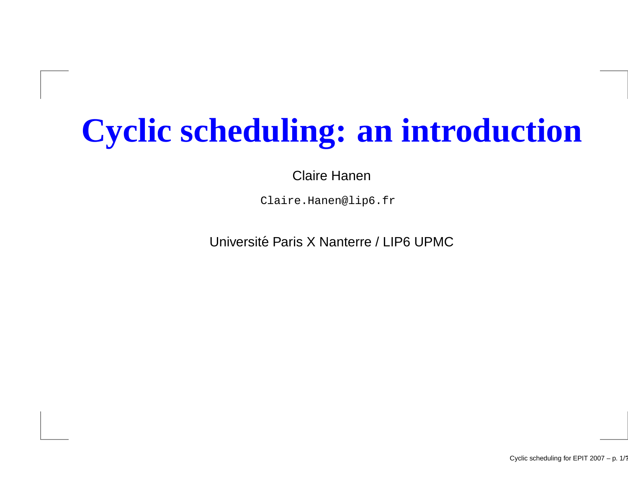# **Cyclic scheduling: an introduction**

Claire Hanen

Claire.Hanen@lip6.fr

Université Paris X Nanterre / LIP6 UPMC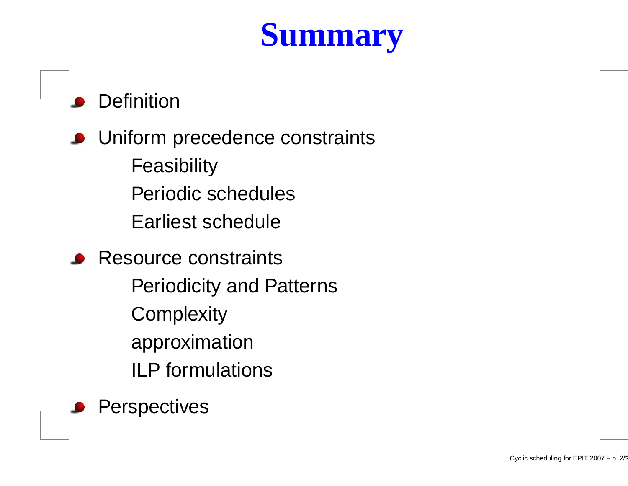# **Summary**

### **Definition**

**O** Uniform precedence constraints **Feasibility** Periodic schedulesEarliest schedule

**Resource constraints** Periodicity and Patterns**Complexity** approximationILP formulations

**Perspectives**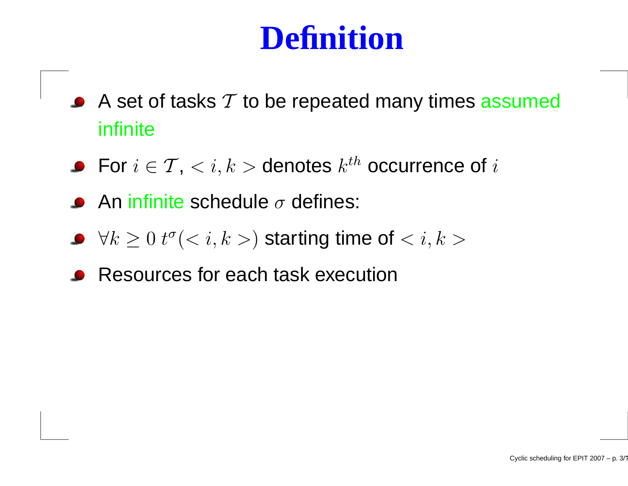## **Definition**

- A set of tasks  ${\cal T}$  to be repeated many times  ${\bf assumed}$ infinite
- For  $i\in\mathcal{T},$   $<$   $i,k>$  denotes  $k^{th}$  occurrence of  $i$
- An infinite schedule  $\sigma$  defines:
- $\forall k \geq 0$   $t^{\sigma}(< i, k>)$  starting time of  $< i, k>$
- Resources for each task execution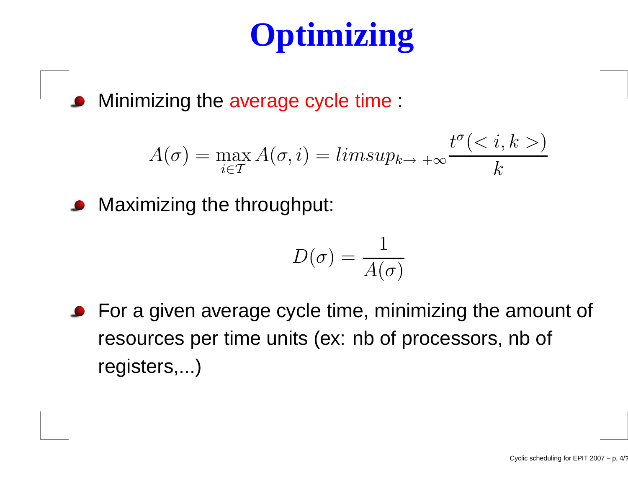# **Optimizing**

Minimizing the average cycle time :

$$
A(\sigma) = \max_{i \in \mathcal{T}} A(\sigma, i) = limsup_{k \to +\infty} \frac{t^{\sigma} < i, k \gt)}{k}
$$

**O** Maximizing the throughput:

$$
D(\sigma)=\frac{1}{A(\sigma)}
$$

**•** For a given average cycle time, minimizing the amount of resources per time units (ex: nb of processors, nb of registers,...)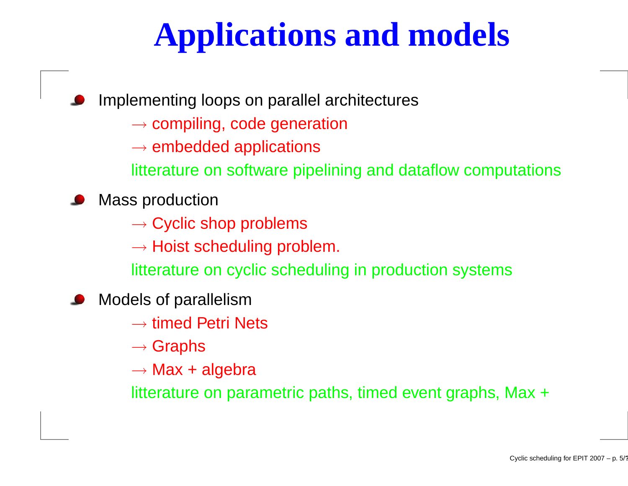# **Applications and models**

Implementing loops on parallel architectures

- $\rightarrow$  compiling, code generation
- $\rightarrow$  embedded applications<br>Fitterature an estimare pine

litterature on software pipelining and dataflow computations

Mass production

 $\rightarrow$  Cyclic shop problems<br>website as a short line are shown

 $\rightarrow$  Hoist scheduling problem.<br>Fitterature en evolie schedulin

litterature on cyclic scheduling in production systems

Models of parallelism

 $\rightarrow$  timed Petri Nets

 $\rightarrow$  Graphs

 $\rightarrow$  Max + algebra

litterature on parametric paths, timed event graphs, Max <sup>+</sup>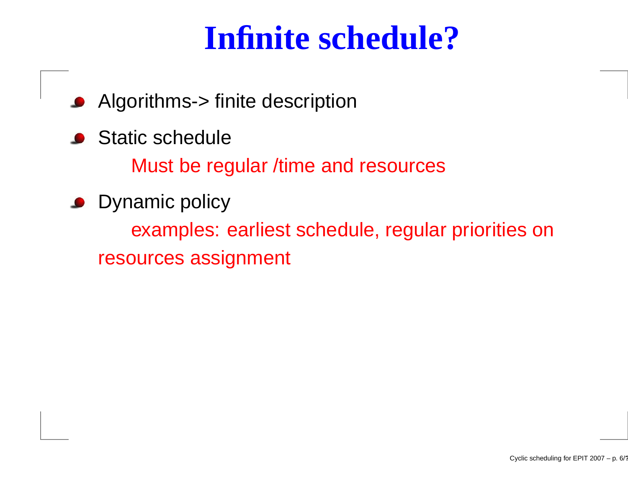## **Infinite schedule?**

- Algorithms-> finite description $\bullet$
- **Static schedule**

Must be regular /time and resources

Dynamic policy

examples: earliest schedule, regular priorities onresources assignment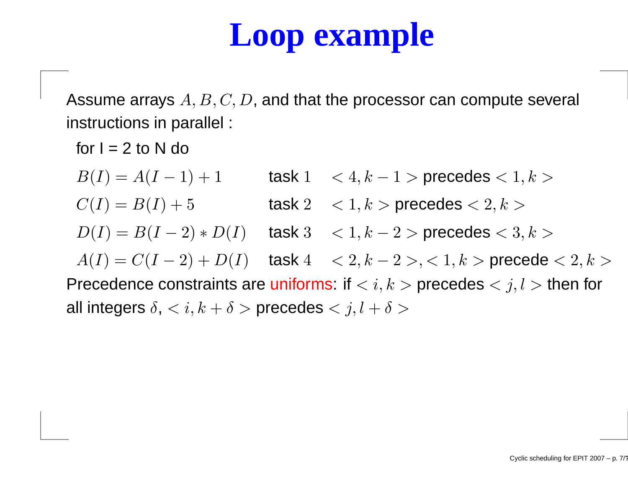# **Loop example**

Assume arrays  $A,B,C,D,$  and that the processor can compute several instructions in parallel :

for  $I = 2$  to N do  $B(I) = A(I -1$  + 1 task  $1 \leq 4, k$  $-1$  > precedes  $< 1, k >$  $C(I) = B(I) + 5$ 5 task 2  $\langle 1, k \rangle$  precedes  $\langle 2, k \rangle$  $D(I) = B(I A(I) = C(I-2) +$  $(-2)*D(I)$  task 3 < 1, k  $-$  2  $>$  precedes  $< 3, k >$ Precedence constraints are uniforms: if  $\langle i, k \rangle$  precedes  $\langle j, l \rangle$  then for  $(-2) + D(I)$  task  $4 < 2, k$  $2$   $>$ ,  $<$   $1, k$   $>$  precede  $<$   $2, k$   $>$ all integers  $\delta, < i, k+\delta>$  precedes  $< j, l+\delta>$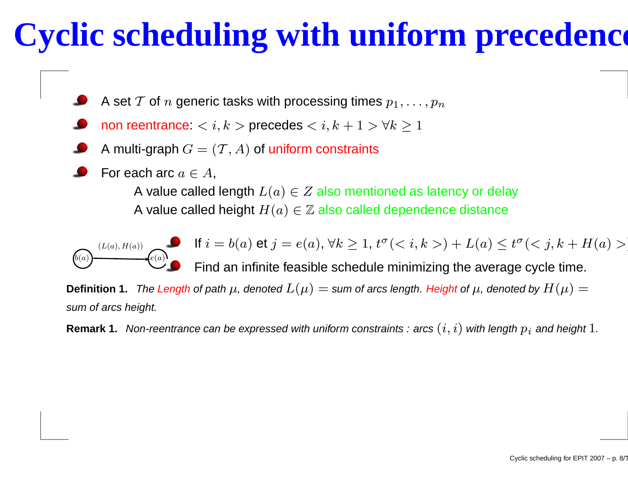# **Cyclic scheduling with uniform precedences**

- A set  ${\cal T}$  of  $n$  generic tasks with processing times  $p_1,\ldots,p_n$
- non reentrance:  $< i,k>$  precedes  $< i,k+1> \forall k\geq 1$
- A multi-graph  $G=(\mathcal{T},A)$  of uniform constraints
- For each arc  $a\in A,$

A value called length  $L(a) \in Z$  also mentioned as latency or delay A value called height  $H(a) \in \mathbb{Z}$  also called dependence distance

$$
(L(a), H(a)) \qquad (e(a))
$$

If  $i=b(a)$  et  $j=e(a)$ ,  $\forall k\geq 1$ ,  $t^{\sigma}(< i,k>)+L(a)\leq t^{\sigma}(< j,k+H(a)>)$ 

Find an infinite feasible schedule minimizing the average cycle time.

 ${\sf Definition~1.}$  The Length of path  $\mu$ , denoted  $L(\mu) =$  sum of arcs length. Height of  $\mu$ , denoted by  $H(\mu) =$ sum of arcs height.

 ${\sf Remark~1.}$   $\,$  Non-reentrance can be expressed with uniform constraints  $:$  arcs  $(i,i)$  with length  $p_i$  and height  $1.$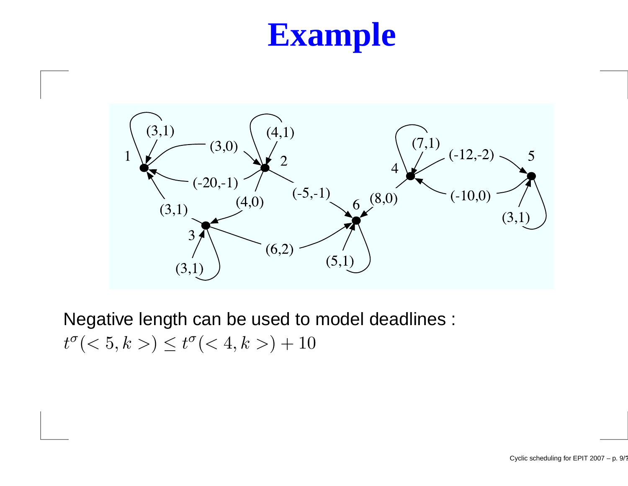# **Example**



Negative length can be used to model deadlines :  $t^{\sigma}(< 5, k>) \leq t^{\sigma}(< 4, k>) + 10$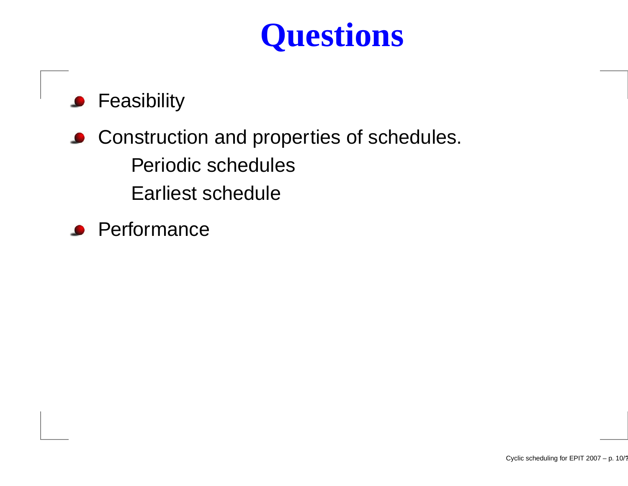# **Questions**

#### **•** Feasibility

- **Construction and properties of schedules.** Periodic schedulesEarliest schedule
- **Performance**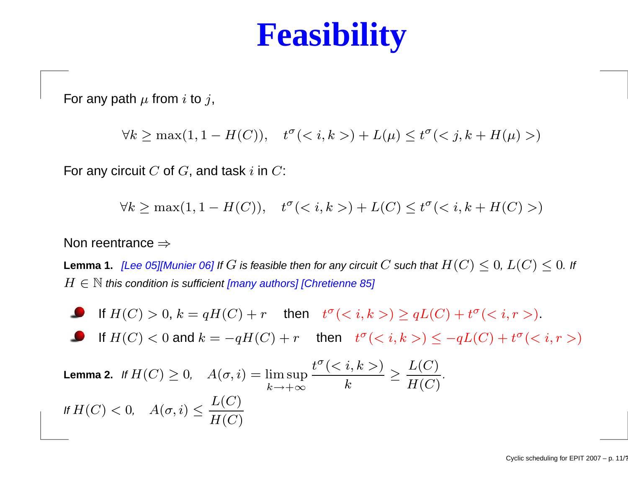## **Feasibility**

For any path  $\mu$  from  $i$  to  $j,$ 

 $\forall k \ge \max(1, 1 - H(C)), \quad t^{\sigma}(*i,k*) + L(\mu) \le t^{\sigma}(*j,k* + H(\mu))$ 

For any circuit  $C$  of  $G,$  and task  $i$  in  $C$ :

 $\forall k \ge \max(1, 1 - H(C)), \quad t^{\sigma}(*k*) + L(C) \le t^{\sigma}(*k*, *k* + H(C)>)$ 

#### Non reentrance  $\Rightarrow$

**Lemma 1.** [Lee 05][Munier 06] If  $G$  is feasible then for any circuit  $C$  such that  $H(C) \leq 0$ ,  $L(C) \leq 0$ . If  $H \in \mathbb{N}$  this condition is sufficient [many authors] [Chretienne 85]

If  $H(C) > 0$ ,  $k = qH(C) + r$  then  $t^{\sigma}(< i, k>) \ge qL(C) + t^{\sigma}(< i, r>)$ . If  $H(C) < 0$  and  $k = -qH(C) + r$  then  $t^{\sigma}(< i, k>) \le -qL(C) + t^{\sigma}(< i, r>)$  $\textsf{\textbf{Lemma 2.}} \ \ \textit{If } H(C) \geq 0, \ \ \ \ A(\sigma,i) = \limsup_{k \rightarrow +\infty} \frac{1}{k}$  $\frac{t^{\sigma} (*k* >)}{k}$  $\frac{k}{k}$   $\geq$  $\frac{L(C)}{H(C)}$ . If  $H(C) <$  $< 0, \quad A(\sigma, i) \leq \frac{L(C)}{H(C)}$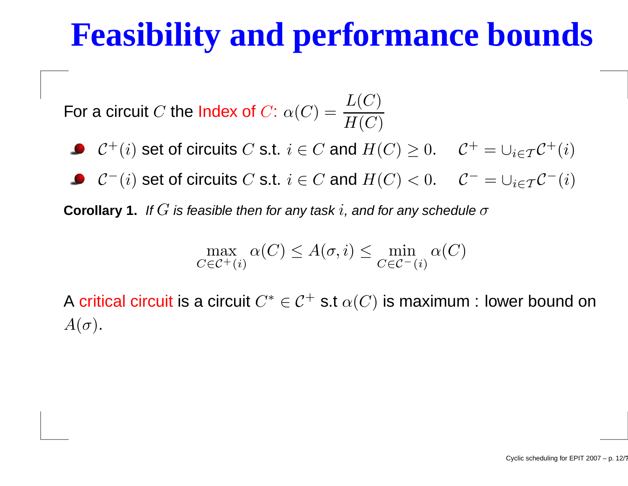# **Feasibility and performance bounds**

For a circuit  $C$  the Index of  $C$ :  $\alpha$  $(C) =$ L $\overline{\left( \right. }$  $C \$  $\frac{L(C)}{H(C)}$ 

- $\mathcal{C}^+(i)$  set of circuits  $C$  s.t.  $i \in C$  and  $H(C) \geq 0$ .  $\mathcal{C}^+ = \cup_{i \in \mathcal{T}} \mathcal{C}^+(i)$
- $\mathcal{C}^-(i)$  set of circuits  $C$  s.t.  $i \in C$  and  $H(C) < 0$ .  $\mathcal{C}^- = \cup_{i \in \mathcal{T}} \mathcal{C}^-(i)$

**Corollary 1.** If  $G$  is feasible then for any task  $i$ , and for any schedule  $\sigma$ 

$$
\max_{C \in \mathcal{C}^+(i)} \alpha(C) \le A(\sigma, i) \le \min_{C \in \mathcal{C}^-(i)} \alpha(C)
$$

A critical circuit is a circuit  $C^* \in \mathcal{C}^+$  s.t  $\alpha(C)$  is maximum : lower bound on  $A(\sigma).$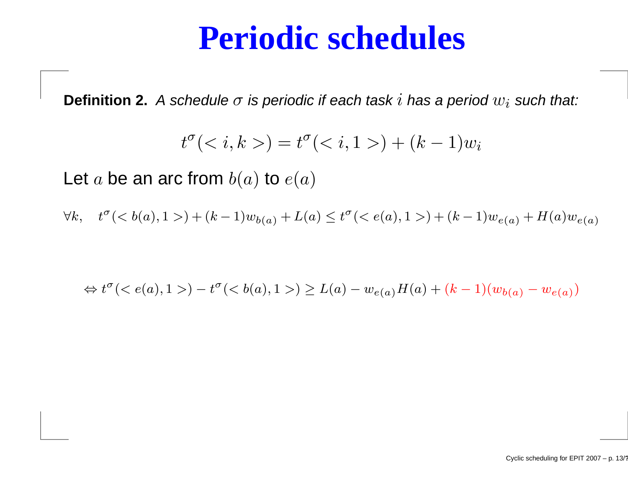### **Periodic schedules**

 $\textbf{Definition 2.} \ \ A \ \textbf{s}$ chedule  $\sigma$  is periodic if each task  $i$  has a period  $w_i$  such that:

$$
t^{\sigma}(k, k) = t^{\sigma}(i, 1>) + (k - 1)wi
$$

Let  $a$  be an arc from  $b(a)$  to  $e(a)$ 

 $\forall k, \quad t^{\sigma}$  $\sigma$ (< b(a), 1 >) + (k - 1) $w_{b(a)}$  + L(a)  $\leq t^{\sigma}$  $\sigma() + (k-1)w_{e(a)} + H(a)w_{e(a)}$ 

$$
\Leftrightarrow t^{\sigma}() - t^{\sigma}(a), 1>) \ge L(a) - w_{e(a)}H(a) + (k - 1)(w_{b(a)} - w_{e(a)})
$$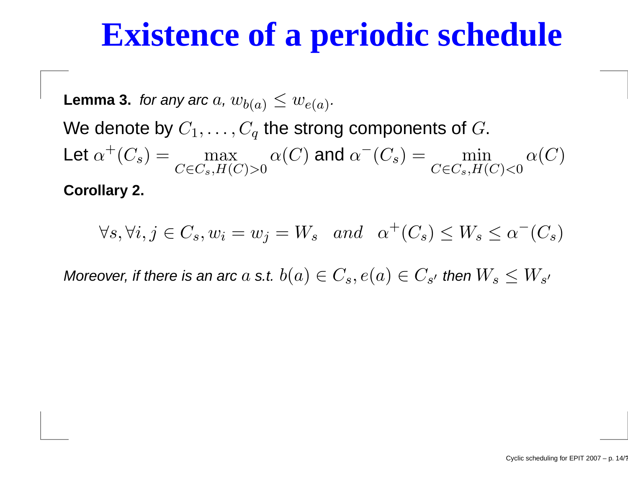## **Existence of <sup>a</sup> periodic schedule**

 $\textsf{Lemma 3.} \ \ \textit{for any arc } a, \, w_{b(a)} \leq w_{e(a)}.$ We denote by  $C_1,\ldots,C_q$  the strong components of  $G.$ Let  $\alpha^+(C_s) = \frac{1}{2}$  $\, + \,$  $^{+}(C_s) = \max_{C \in C_s, H(C) > 0}$  $\alpha$  $\left($  $C \$ ) and  $\alpha$  $^{-}(C_s) = \min_{C \in C_s, H(C) < 0}$  $\alpha$  $\left($  $C \$ ) **Corollary 2.**

 $\forall s, \forall i, j \in C_s, w_i=w_j=W_s \text{ and } \alpha^+(C_s) \leq W_s \leq \alpha^-(C_s)$ 

Moreover, if there is an arc  $a$  s.t.  $b(a)\in C_s, e(a)\in C_{s'}$  then  $W_s\leq W_{s'}$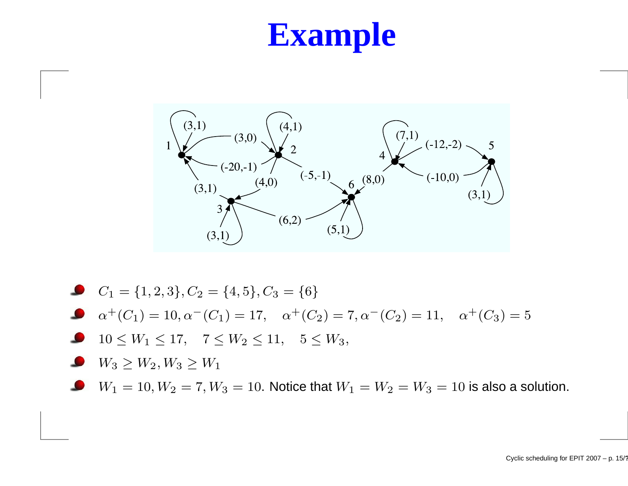# **Example**



- $C_1 = \{1, 2, 3\}, C_2 = \{4, 5\}, C_3 = \{6\}$
- $\alpha^+(C_1) = 10, \alpha^-(C_1) = 17, \quad \alpha^+(C_2) = 7, \alpha^-(C_2) = 11, \quad \alpha^+(C_3) = 5$
- $10 \leq W_1 \leq 17$ ,  $7 \leq W_2 \leq 11$ ,  $5 \leq W_3$ ,
- $\bullet$  $W_3 \ge W_2, W_3 \ge W_1$
- $W_1 = 10, W_2 = 7, W_3 = 10$ . Notice that  $W_1 = W_2 = W_3 = 10$  is also a solution.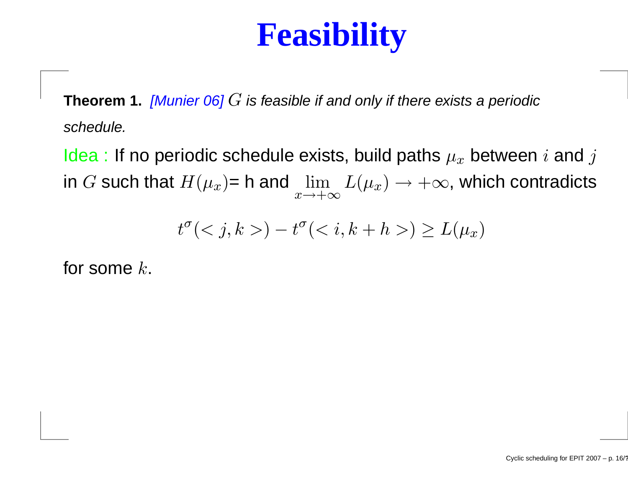# **Feasibility**

**Theorem 1.** [Munier 06] G is feasible if and only if there exists <sup>a</sup> periodic schedule.

Idea : If no periodic schedule exists, build paths  $\mu_x$  between  $i$  and  $j$ in  $G$  such that  $H(\mu_x)$ = h and  $\lim\limits_{x\rightarrow+\infty}$  $L(\mu_x) \rightarrow +\infty$ , which contradicts

$$
t^{\sigma}() - t^{\sigma}() \ge L(\mu_x)
$$

for some  $k$ .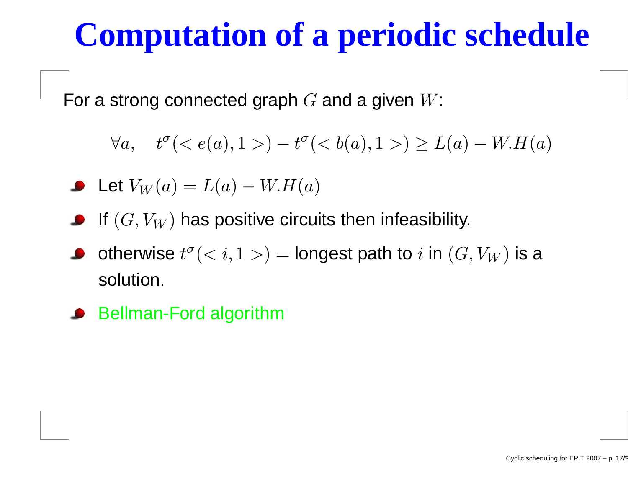# **Computation of <sup>a</sup> periodic schedule**

For a strong connected graph  $G$  and a given  $W$ :

 $\forall a, \quad t^{\sigma}$  $\sigma(< e(a), 1>)$  $-t^\sigma$  $\sigma(< b(a), 1>) \geq L(a)$ − $-W.H(a)$ 

Let 
$$
V_W(a) = L(a) - W.H(a)
$$

- If  $(G, V_W)$  has positive circuits then infeasibility.
- otherwise  $t^\sigma$  $\sigma(< i, 1>)$  = longest path to  $i$  in  $(G, V_W)$  is a solution.
- Bellman-Ford algorithm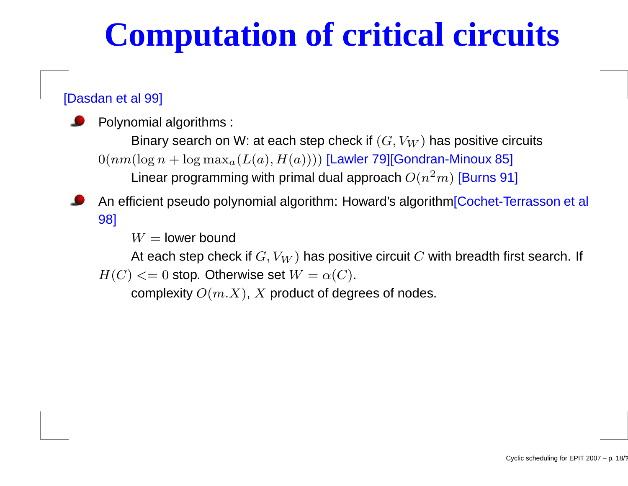# **Computation of critical circuits**

#### [Dasdan et al 99]

Polynomial algorithms :

Binary search on W: at each step check if  $(G, V_W)$  has positive circuits<br>(legan bleg max:  $(L(s), H(s)))$  II awler ZOICendran Mineux 851  $0(nm(\log n + \log \max_a(L(a),H(a))))$  [Lawler 79][Gondran-Minoux 85] Linear programming with primal dual approach  $O(n^2$  $^2m)$  [Burns 91]

#### An efficient pseudo polynomial algorithm: Howard's algorithm[Cochet-Terrasson et al 98]

 $W=$  lower bound

At each step check if  $G, V_W$ ) has positive circuit  $C$  with breadth first search. If  $G = 0$  atop. Otherwise set  $W = e(G)$  $H(C) <= 0$  stop. Otherwise set  $W = \alpha(C).$ 

complexity  $O(m.X)$ ,  $X$  product of degrees of nodes.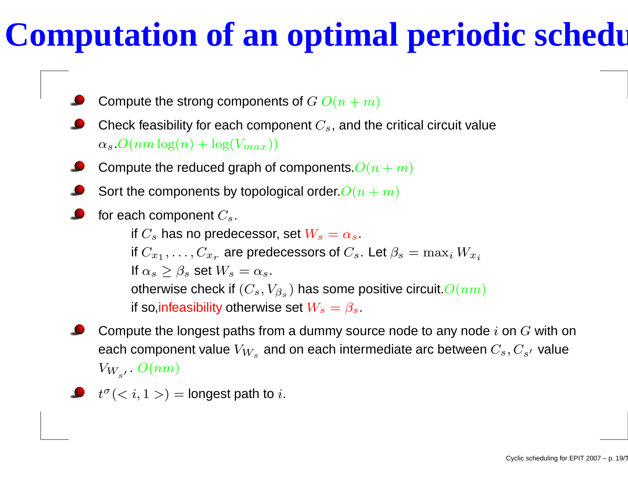# **Computation of an optimal periodic schedule**

Compute the strong components of  $G$   $O(n+m)$ 

- Check feasibility for each component  $C_s$ , and the critical circuit value  $\alpha_s$ . $O(nm \log(n) + \log(V_{max}))$
- Compute the reduced graph of components. $O(n+m)$
- Sort the components by topological order. $O(n+m)$
- for each component  $C_s.$

if  $C_s$  has no predecessor, set  $W_s=\alpha_s.$ if  $C_{x_1}, \ldots, C_{x_r}$  are predecessors of If  $\alpha_s \geq \beta_s$  set  $W_s = \alpha_s$ .  $_{x_{r}}$  are predecessors of  $C_{s}.$  Let  $\beta_{s}=\max_{i}W_{x_{i}}$ otherwise check if  $(C_s,V_{\beta_s})$  has some positive circuit. $O(nm)$ if so,<mark>infeasibility otherwise set  $W_s=\beta_s.$ </mark>

- Compute the longest paths from a dummy source node to any node  $i$  on  $G$  with on each component value  $V_{W_s}$  and on each intermediate arc between  $C_s, C_{s^{\prime}}$  value  $V_{W_{s'}}$ .  $O(nm)$
- $t^{\sigma}(< i, 1>)$  = longest path to  $i$ .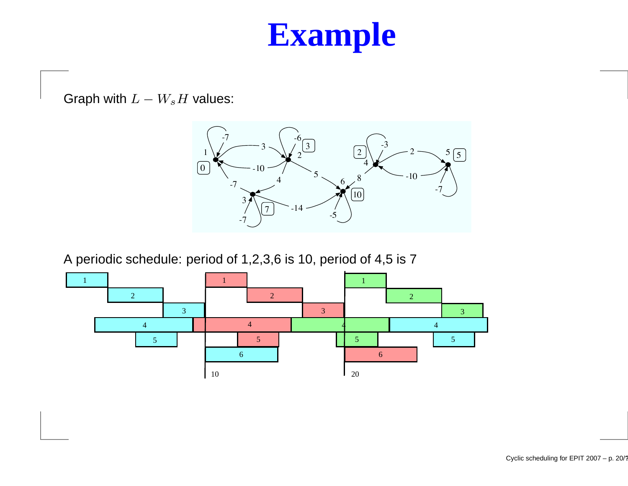## **Example**

Graph with  $L-W_sH$  values:



A periodic schedule: period of 1,2,3,6 is 10, period of 4,5 is <sup>7</sup>

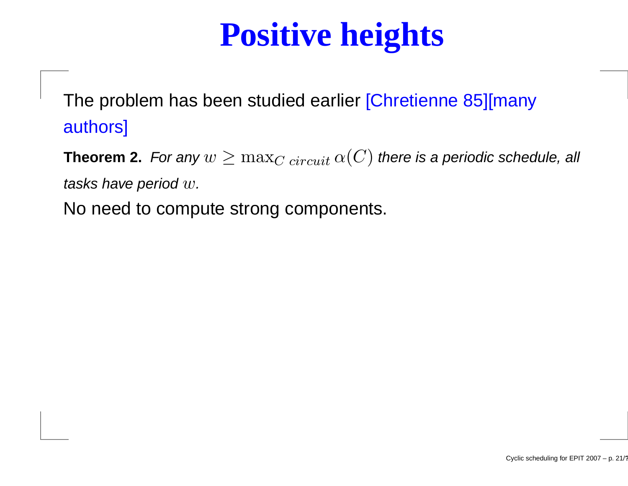# **Positive heights**

The problem has been studied earlier [Chretienne 85][manyauthors]

**Theorem 2.** For any  $w \geq \max_{C \; circuit} \alpha(C)$  there is a periodic schedule, all tasks have period  $w.$ 

No need to compute strong components.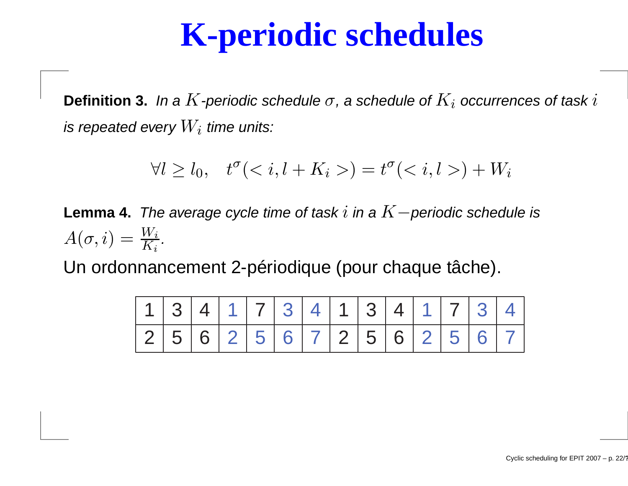## **K-periodic schedules**

**Definition 3.** In a  $K$  -periodic schedule  $\sigma$ , a schedule of  $K_i$  occurrences of task  $i$ is repeated every  $W_i$  time units:

$$
\forall l \ge l_0, \quad t^{\sigma}(l + K_i>) = t^{\sigma}(l, l) + W_i
$$

**Lemma 4.** The average cycle time of task  $i$  in a  $K−$  periodic schedule is  $A(\sigma,i) = \frac{W_i}{K_i}.$ 

Un ordonnancement 2-périodique (pour chaque tâche).

| 1134117341134117341 |  |  |  |  |  |  |  |
|---------------------|--|--|--|--|--|--|--|
| 256256725672562567  |  |  |  |  |  |  |  |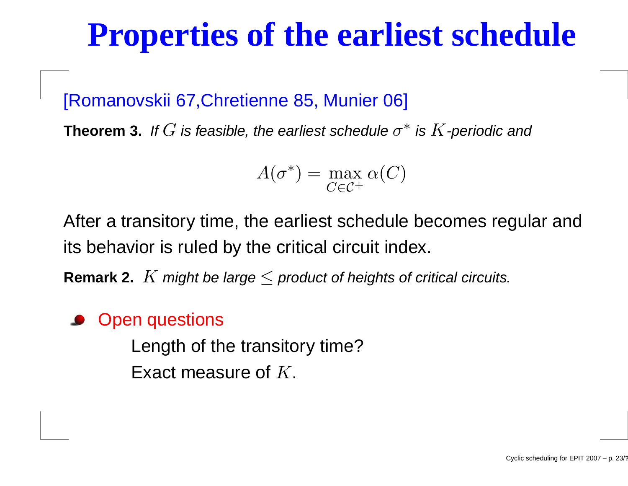### **Properties of the earliest schedule**

#### [Romanovskii 67,Chretienne 85, Munier 06]

**Theorem 3.** If  $G$  is feasible, the earliest schedule  $\sigma^*$  is  $K$  -periodic and

$$
A(\sigma^*) = \max_{C \in \mathcal{C}^+} \alpha(C)
$$

After <sup>a</sup> transitory time, the earliest schedule becomes regular andits behavior is ruled by the critical circuit index.

**Remark 2.**  $K$  might be large  $\leq$  product of heights of critical circuits.

#### Open questions

Length of the transitory time?Exact measure of  $K.$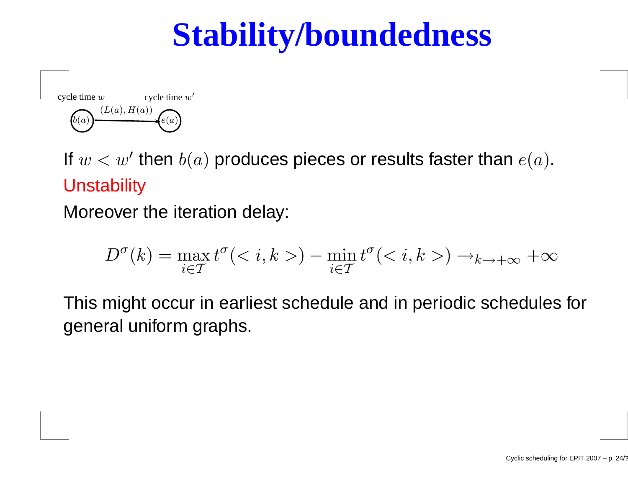# **Stability/boundedness**



If  $w < w'$  then  $b(a)$  produces pieces or results faster than  $e(a).$ Unstability

Moreover the iteration delay:

$$
D^{\sigma}(k) = \max_{i \in \mathcal{T}} t^{\sigma}(\langle i, k \rangle) - \min_{i \in \mathcal{T}} t^{\sigma}(\langle i, k \rangle) \to_{k \to +\infty} +\infty
$$

This might occur in earliest schedule and in periodic schedules forgeneral uniform graphs.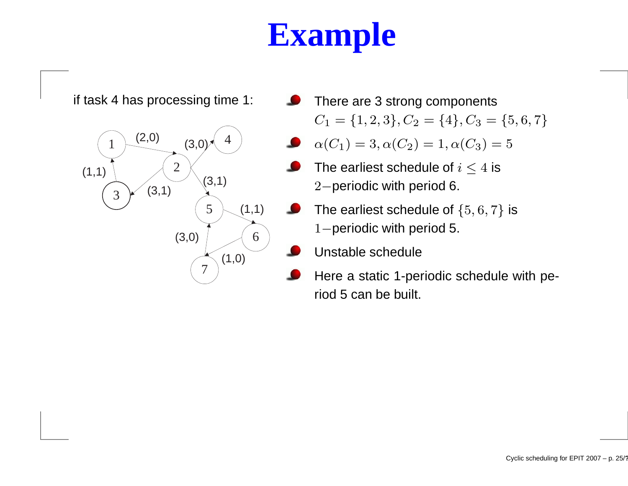# **Example**



There are 3 strong components $C_1 = \{1, 2, 3\}, C_2 = \{4\}, C_3 = \{5, 6, 7\}$ 

$$
\alpha(C_1) = 3, \alpha(C_2) = 1, \alpha(C_3) = 5
$$

- The earliest schedule of  $i\leq 4$  is <sup>2</sup>−periodic with period 6.
- The earliest schedule of  $\{5,6,7\}$  is 1–periodic with period 5.
	- Unstable schedule
- Here <sup>a</sup> static 1-periodic schedule with period 5 can be built.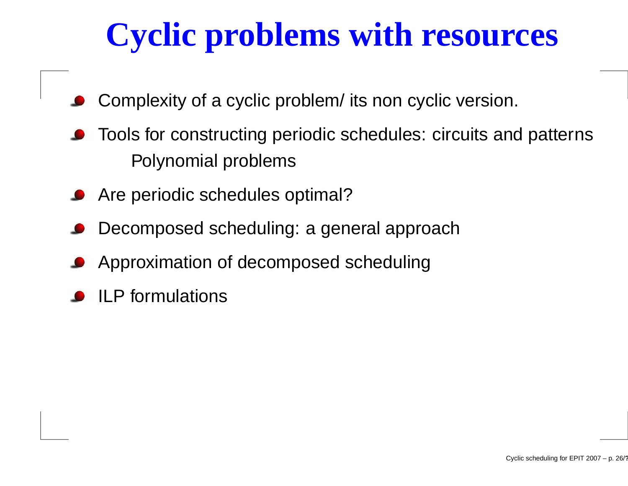# **Cyclic problems with resources**

- Complexity of <sup>a</sup> cyclic problem/ its non cyclic version.
- Tools for constructing periodic schedules: circuits and patternsPolynomial problems
- Are periodic schedules optimal?
- Decomposed scheduling: <sup>a</sup> general approach
- Approximation of decomposed scheduling
- ILP formulations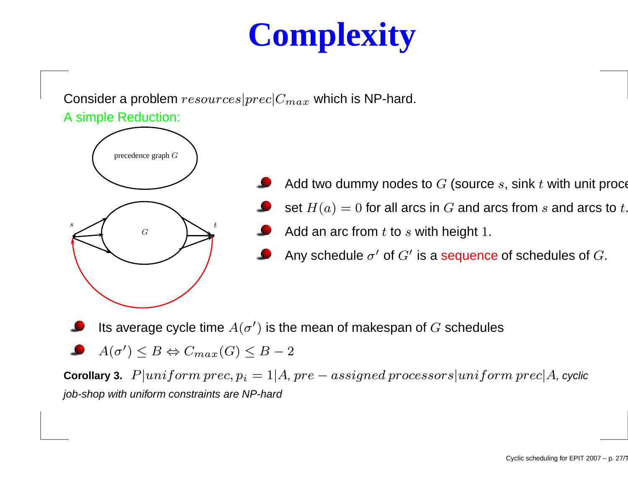# **Complexity**

#### Consider a problem  $resources|prec|C_{max}$  which is NP-hard. A simple Reduction:



- Add two dummy nodes to  $G$  (source  $s,$  sink  $t$  with unit proce
	- set  $H(a) = 0$  for all arcs in  $G$  and arcs from  $s$  and arcs to  $t$ .
- Add an arc from  $t$  to  $s$  with height  $1.$
- Any schedule  $\sigma'$  of  $G'$  is a sequence of schedules of  $G.$

Its average cycle time  $A(\sigma')$  is the mean of makespan of  $G$  schedules

 $A(\sigma') \leq B \Leftrightarrow C_{max}(G) \leq B-2$ 

**Corollary 3.**  $P|uniform\, prec, p_i = 1|A, pre-assigned\,processors|uniform\, prec|A, cyclic$ job-shop with uniform constraints are NP-hard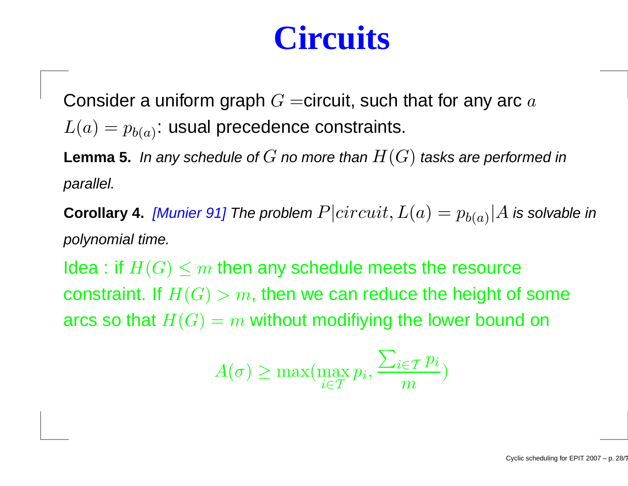## **Circuits**

Consider a uniform graph  $G=$ circuit, such that for any arc  $a$  $L(a) = p_{b(a)}$ : usual precedence constraints.

**Lemma 5.** In any schedule of  $G$  no more than  $H(G)$  tasks are performed in parallel.

**Corollary 4.** *[Munier* 91] The problem  $P|circuit, L(a) = p_{b(a)}|A$  is solvable in polynomial time.

Idea : if  $H(G) \leq m$  then any schedule meets the resource constraint. If  $H(G) > m,$  then we can reduce the height of some arcs so that  $H(G) = m$  without modifiying the lower bound on

$$
A(\sigma) \ge \max(\max_{i \in T} p_i, \frac{\sum_{i \in T} p_i}{m})
$$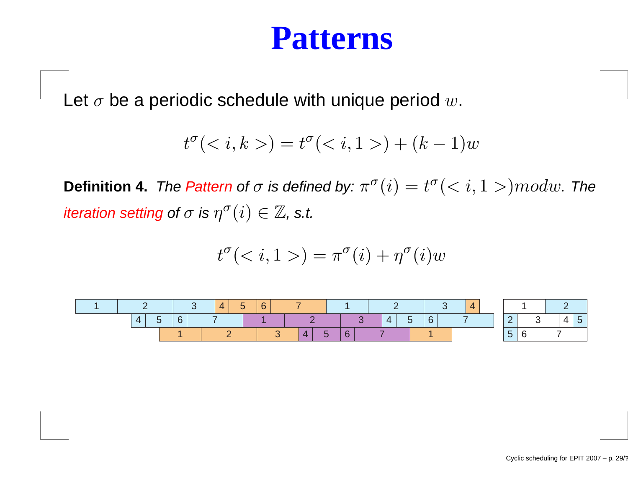### **Patterns**

Let  $\sigma$  be a periodic schedule with unique period  $w.$ 

$$
t^{\sigma}(k, k) = t^{\sigma}(i, 1>) + (k - 1)w
$$

**Definition 4.** *The Pattern of*  $\sigma$  *is defined by:*  $\pi^{\sigma}(i) = t^{\sigma}(< i, 1>) mod w$ *. The* iteration setting of  $\sigma$  is  $\eta^\sigma(i) \in \mathbb{Z}$ , s.t.

$$
t^{\sigma}() = \pi^{\sigma}(i) + \eta^{\sigma}(i)w
$$

|  |                |  |  | $\boldsymbol{\Delta}$ | - | 6          |        |  |  |  |   |   |   |  |  |  |  |  |  |
|--|----------------|--|--|-----------------------|---|------------|--------|--|--|--|---|---|---|--|--|--|--|--|--|
|  | $\overline{4}$ |  |  |                       |   |            |        |  |  |  | 4 | ~ | 6 |  |  |  |  |  |  |
|  |                |  |  |                       |   | <b>12.</b> | $\sim$ |  |  |  |   |   |   |  |  |  |  |  |  |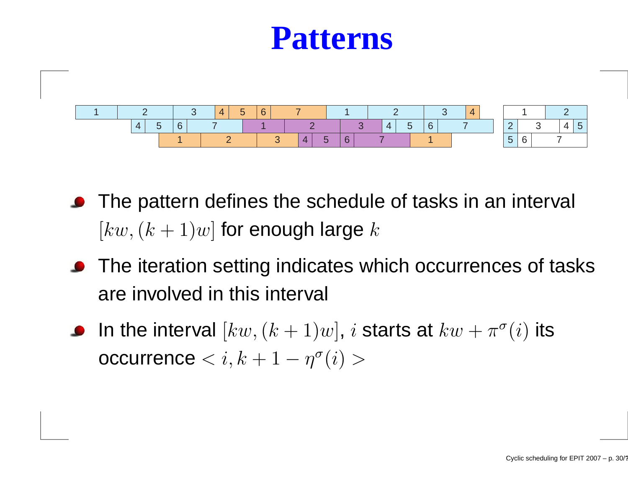### **Patterns**



- **•** The pattern defines the schedule of tasks in an interval  $[kw,(k+1)w]$  for enough large  $k$
- **•** The iteration setting indicates which occurrences of tasks are involved in this interval
- In the interval  $[kw,(k+1)w],\,i$  starts at  $kw+\pi^\sigma(i)$  its  $\bullet$  $\textsf{occurrence} < i, k+1 - \eta^\sigma(i) >$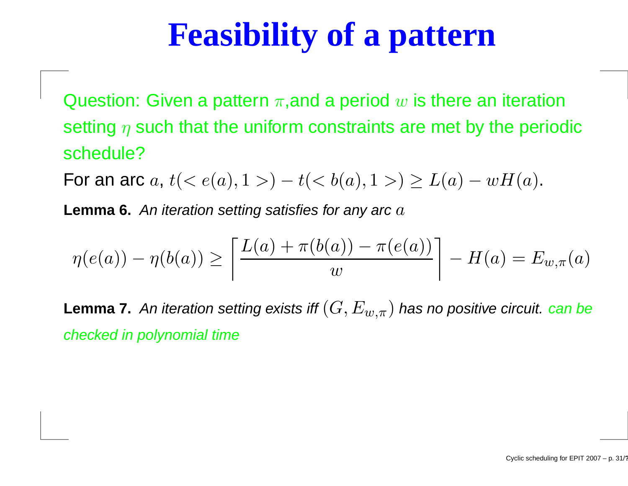# **Feasibility of <sup>a</sup> pattern**

Question: Given a pattern  $\pi,$ and a period  $w$  is there an iteration setting  $\eta$  such that the uniform constraints are met by the periodic schedule?

For an arc  $a, \, t (< e(a), 1> )$  $-t(< b(a), 1>) \geq L(a)$  $-wH(a).$ 

**Lemma 6.** An iteration setting satisfies for any arc  $a$ 

$$
\eta(e(a)) - \eta(b(a)) \ge \left[ \frac{L(a) + \pi(b(a)) - \pi(e(a))}{w} \right] - H(a) = E_{w, \pi}(a)
$$

**Lemma 7.** An iteration setting exists iff  $(G, E_{w,\pi})$  has no positive circuit. can be checked in polynomial time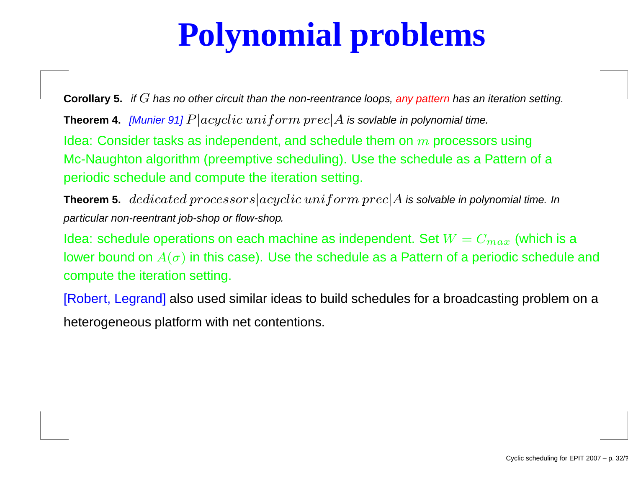# **Polynomial problems**

 $\bf{Corollary 5.}$  if  $G$  has no other circuit than the non-reentrance loops, any pattern has an iteration setting.<br>

**Theorem 4.**  $[$ Munier 91]  $P|acyclic\ uniform\ prec|A$  is sovlable in polynomial time.

Idea: Consider tasks as independent, and schedule them on  $m$  processors using<br>Ma Navaktar also rither (process tive ash aduliar). He athe ashedule as a Detterre Mc-Naughton algorithm (preemptive scheduling). Use the schedule as <sup>a</sup> Pattern of <sup>a</sup>periodic schedule and compute the iteration setting.

**Theorem 5.**  $\emph{dedicated processors} | acyclic\,uniform\, prec | A$  is solvable in polynomial time. In particular non-reentrant job-shop or flow-shop.

ldea: schedule operations on each machine as independent. Set  $W=C_{max}$  (which is a lower bound on  $A(\sigma)$  in this case). Use the schedule as a Pattern of a periodic schedule and compute the iteration setting.

[Robert, Legrand] also used similar ideas to build schedules for <sup>a</sup> broadcasting problem on <sup>a</sup>heterogeneous platform with net contentions.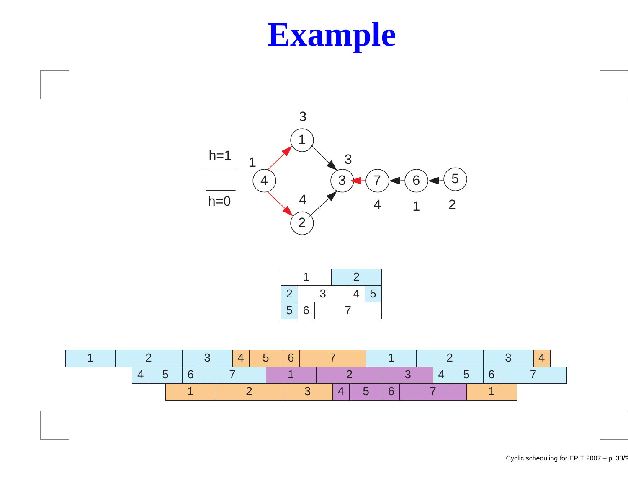# **Example**



| ఽ |   | 3 |  | 5<br>4 |  |  |  |  |  |  |
|---|---|---|--|--------|--|--|--|--|--|--|
| 5 | 6 |   |  |        |  |  |  |  |  |  |

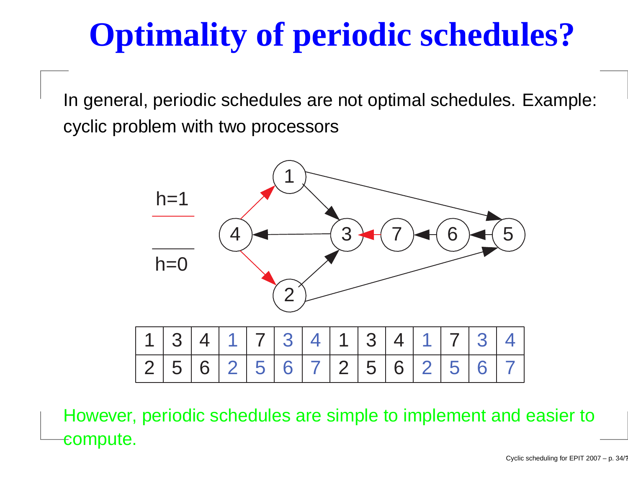# **Optimality of periodic schedules?**

In general, periodic schedules are not optimal schedules. Example: cyclic problem with two processors



However, periodic schedules are simple to implement and easier tocompute.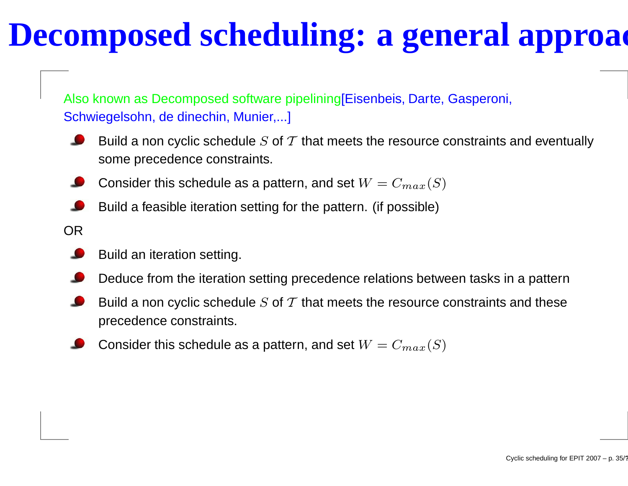## **Decomposed scheduling: <sup>a</sup> general approach**

Also known as Decomposed software pipelining[Eisenbeis, Darte, Gasperoni, Schwiegelsohn, de dinechin, Munier,...]

- Build a non cyclic schedule  $S$  of  $\mathcal T$  that meets the resource constraints and eventually some precedence constraints.
- Consider this schedule as a pattern, and set  $W=C_{max}(S)$
- Build <sup>a</sup> feasible iteration setting for the pattern. (if possible)
- OR
	- Build an iteration setting.
	- Deduce from the iteration setting precedence relations between tasks in <sup>a</sup> pattern
	- Build a non cyclic schedule  $S$  of  $\mathcal T$  that meets the resource constraints and these precedence constraints.
	- Consider this schedule as a pattern, and set  $W=C_{max}(S)$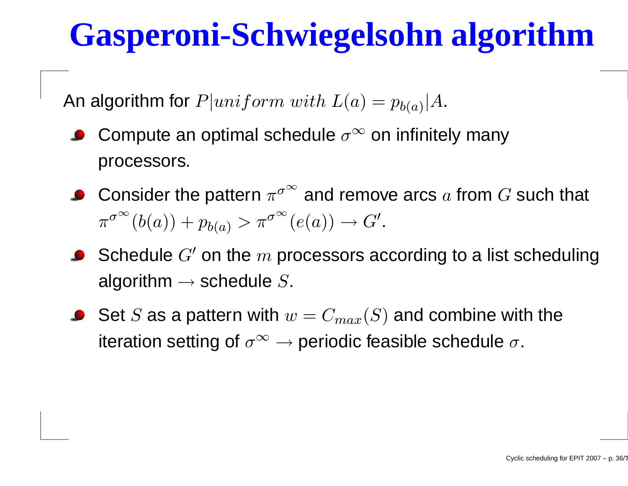# **Gasperoni-Schwiegelsohn algorithm**

An algorithm for  $P|uniform\ with\ L(a) = p_{b(a)}|A.$ 

- Compute an optimal schedule  $\sigma^{\infty}$  on infinitely many processors.
- Consider the pattern  $\pi^{\sigma^\infty}$  and remove arcs  $a$  from  $G$  such that  $\pi^{\sigma}$ ∞ $\int_0^\infty (b(a))+p_{b(a)}>\pi^\sigma$ ∞ $\stackrel{\infty}{\cdot}(e(a))\rightarrow G'.$
- Schedule  $G'$  on the  $m$  processors according to a list scheduling algorithm  $\rightarrow$  schedule  $S.$
- Set  $S$  as a pattern with  $w=C_{max}(S)$  and combine with the iteration setting of  $\sigma^\infty \to$  periodic feasible schedule  $\sigma.$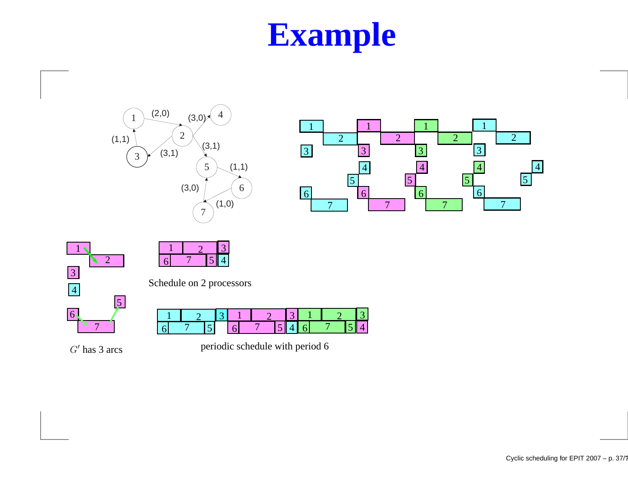# **Example**









Schedule on 2 processors

| ے |  |  |  |  |  |  |  |  |  |
|---|--|--|--|--|--|--|--|--|--|
|   |  |  |  |  |  |  |  |  |  |

 $G'$  has 3 arcs

periodic schedule with period 6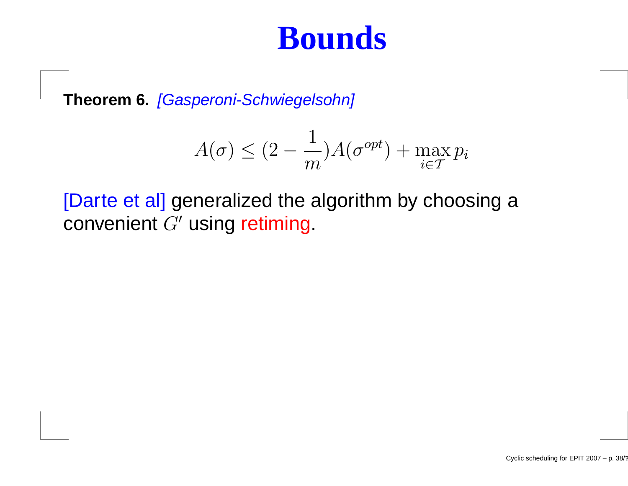### **Bounds**

**Theorem 6.** [Gasperoni-Schwiegelsohn]

$$
A(\sigma) \le (2 - \frac{1}{m})A(\sigma^{opt}) + \max_{i \in T} p_i
$$

[Darte et al] generalized the algorithm by choosing <sup>a</sup>convenient  $G^{\prime}$  using retiming.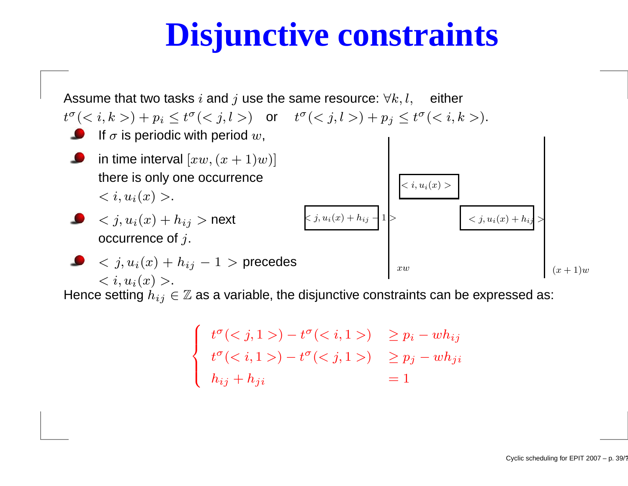## **Disjunctive constraints**



Hence setting  $h_{ij}\in\mathbb{Z}$  as a variable, the disjunctive constraints can be expressed as:

$$
\begin{cases}\n t^{\sigma}() - t^{\sigma}() > p_i - wh_{ij} \\
t^{\sigma}() - t^{\sigma}() > p_j - wh_{ji} \\
h_{ij} + h_{ji} &= 1\n\end{cases}
$$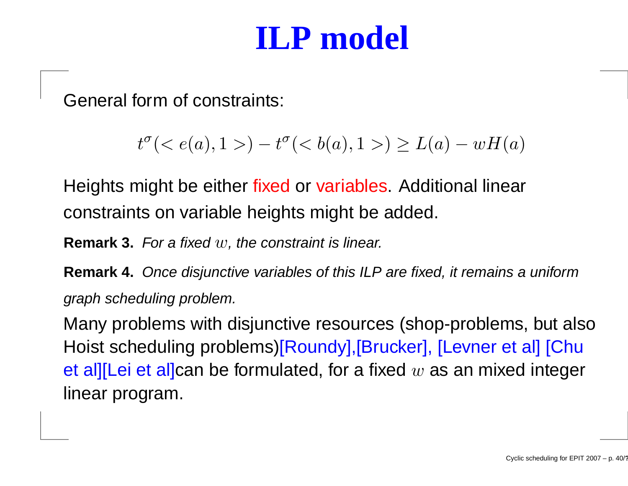### **ILP model**

General form of constraints:

$$
t^{\sigma}(< e(a), 1>) - t^{\sigma}(< b(a), 1>) \ge L(a) - wH(a)
$$

Heights might be either <mark>fixed or variables.</mark> Additional linear constraints on variable heights might be added.

**Remark 3.** For <sup>a</sup> fixed <sup>w</sup>, the constraint is linear.

**Remark 4.** Once disjunctive variables of this ILP are fixed, it remains <sup>a</sup> uniformgraph scheduling problem.

Many problems with disjunctive resources (shop-problems, but alsoHoist scheduling problems)[Roundy],[Brucker], [Levner et al] [Chuet al][Lei et al]can be formulated, for a fixed  $w$  as an mixed integer linear program.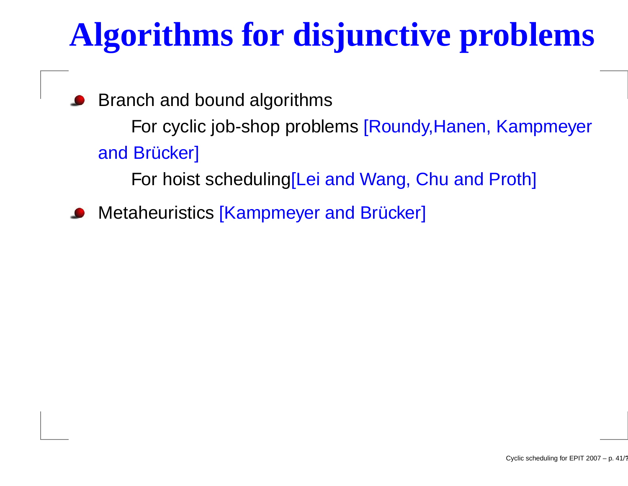# **Algorithms for disjunctive problems**

Branch and bound algorithmsFor cyclic job-shop problems [Roundy,Hanen, Kampmeyer and Brücker] For hoist scheduling[Lei and Wang, Chu and Proth]

Metaheuristics [Kampmeyer and Brücker]